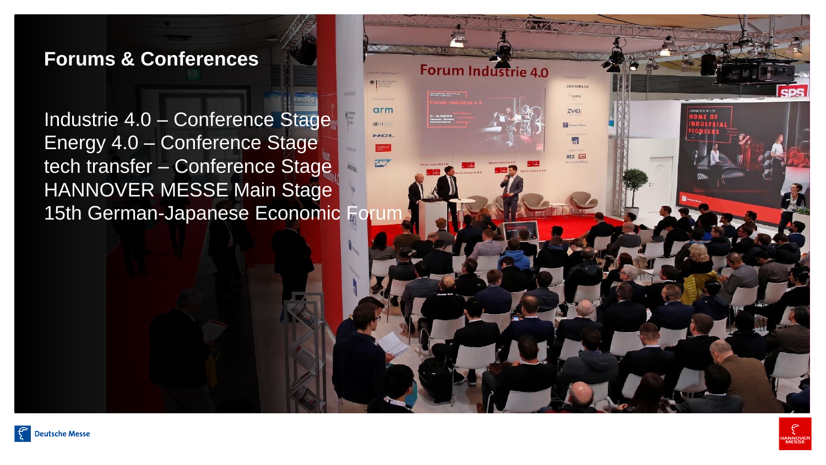# **Forums & Conferences**

Industrie 4.0 – Conference Stage Energy 4.0 – Conference Stage tech transfer – Conference Stage HANNOVER MESSE Main Stage 15th German-Japanese Economic Forun Forum Industrie 4.0

 $T$  $161$ 

 $etz \nightharpoonup$ 

 $arm$ 

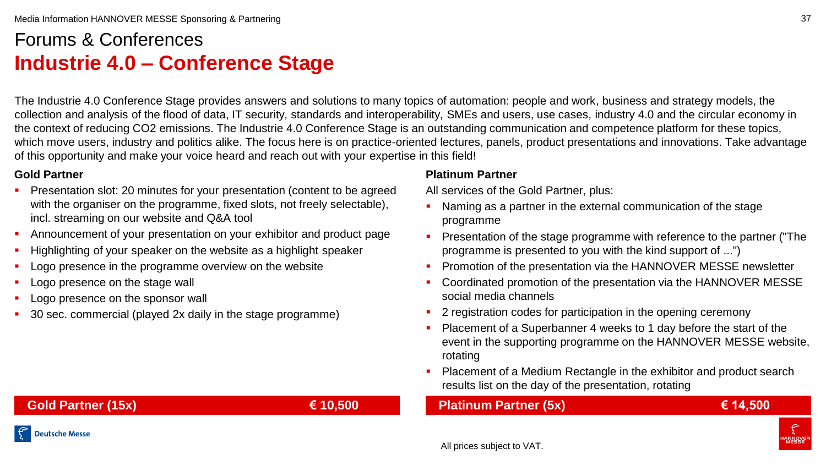# Forums & Conferences **Industrie 4.0 – Conference Stage**

The Industrie 4.0 Conference Stage provides answers and solutions to many topics of automation: people and work, business and strategy models, the collection and analysis of the flood of data, IT security, standards and interoperability, SMEs and users, use cases, industry 4.0 and the circular economy in the context of reducing CO2 emissions. The Industrie 4.0 Conference Stage is an outstanding communication and competence platform for these topics, which move users, industry and politics alike. The focus here is on practice-oriented lectures, panels, product presentations and innovations. Take advantage of this opportunity and make your voice heard and reach out with your expertise in this field!

## **Gold Partner**

- Presentation slot: 20 minutes for your presentation (content to be agreed with the organiser on the programme, fixed slots, not freely selectable), incl. streaming on our website and Q&A tool
- Announcement of your presentation on your exhibitor and product page
- Highlighting of your speaker on the website as a highlight speaker
- Logo presence in the programme overview on the website
- Logo presence on the stage wall
- Logo presence on the sponsor wall
- 30 sec. commercial (played 2x daily in the stage programme)

### **Platinum Partner**

All services of the Gold Partner, plus:

- Naming as a partner in the external communication of the stage programme
- **Presentation of the stage programme with reference to the partner ("The** programme is presented to you with the kind support of ...")
- **Promotion of the presentation via the HANNOVER MESSE newsletter**
- Coordinated promotion of the presentation via the HANNOVER MESSE social media channels
- 2 registration codes for participation in the opening ceremony
- Placement of a Superbanner 4 weeks to 1 day before the start of the event in the supporting programme on the HANNOVER MESSE website, rotating
- **Placement of a Medium Rectangle in the exhibitor and product search** results list on the day of the presentation, rotating

# **Platinum Partner (5x) € 14,500**

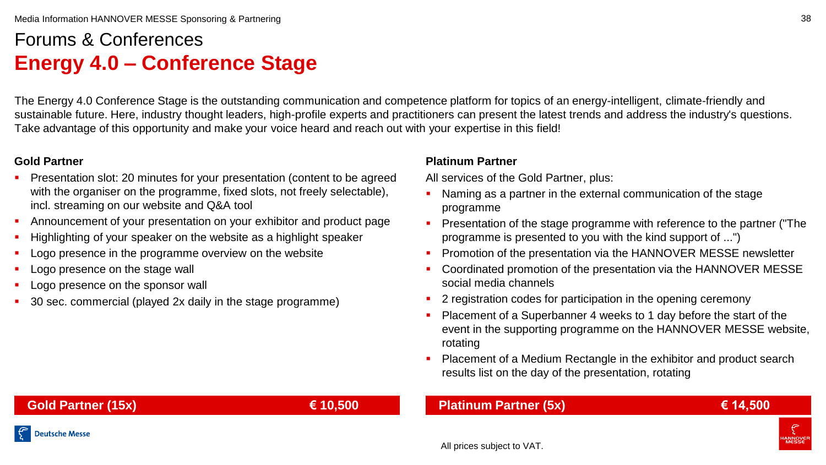# Forums & Conferences **Energy 4.0 – Conference Stage**

The Energy 4.0 Conference Stage is the outstanding communication and competence platform for topics of an energy-intelligent, climate-friendly and sustainable future. Here, industry thought leaders, high-profile experts and practitioners can present the latest trends and address the industry's questions. Take advantage of this opportunity and make your voice heard and reach out with your expertise in this field!

## **Gold Partner**

- Presentation slot: 20 minutes for your presentation (content to be agreed with the organiser on the programme, fixed slots, not freely selectable), incl. streaming on our website and Q&A tool
- Announcement of your presentation on your exhibitor and product page
- Highlighting of your speaker on the website as a highlight speaker
- Logo presence in the programme overview on the website
- Logo presence on the stage wall
- Logo presence on the sponsor wall
- 30 sec. commercial (played 2x daily in the stage programme)

### **Platinum Partner**

All services of the Gold Partner, plus:

- Naming as a partner in the external communication of the stage programme
- **Presentation of the stage programme with reference to the partner ("The** programme is presented to you with the kind support of ...")
- **Promotion of the presentation via the HANNOVER MESSE newsletter**
- Coordinated promotion of the presentation via the HANNOVER MESSE social media channels
- 2 registration codes for participation in the opening ceremony
- Placement of a Superbanner 4 weeks to 1 day before the start of the event in the supporting programme on the HANNOVER MESSE website, rotating
- **Placement of a Medium Rectangle in the exhibitor and product search** results list on the day of the presentation, rotating

# **Gold Partner (15x) € 10,500**

**Deutsche Messe** 

# **Platinum Partner (5x) € 14,500**

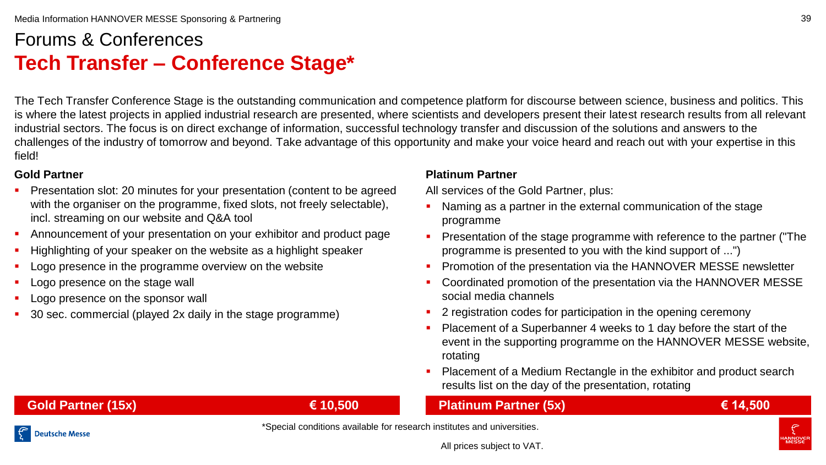# Forums & Conferences **Tech Transfer – Conference Stage\***

The Tech Transfer Conference Stage is the outstanding communication and competence platform for discourse between science, business and politics. This is where the latest projects in applied industrial research are presented, where scientists and developers present their latest research results from all relevant industrial sectors. The focus is on direct exchange of information, successful technology transfer and discussion of the solutions and answers to the challenges of the industry of tomorrow and beyond. Take advantage of this opportunity and make your voice heard and reach out with your expertise in this field!

## **Gold Partner**

- Presentation slot: 20 minutes for your presentation (content to be agreed with the organiser on the programme, fixed slots, not freely selectable), incl. streaming on our website and Q&A tool
- Announcement of your presentation on your exhibitor and product page
- Highlighting of your speaker on the website as a highlight speaker
- Logo presence in the programme overview on the website
- Logo presence on the stage wall
- Logo presence on the sponsor wall
- 30 sec. commercial (played 2x daily in the stage programme)

## **Platinum Partner**

All services of the Gold Partner, plus:

- Naming as a partner in the external communication of the stage programme
- **Presentation of the stage programme with reference to the partner ("The** programme is presented to you with the kind support of ...")
- Promotion of the presentation via the HANNOVER MESSE newsletter
- Coordinated promotion of the presentation via the HANNOVER MESSE social media channels
- 2 registration codes for participation in the opening ceremony
- Placement of a Superbanner 4 weeks to 1 day before the start of the event in the supporting programme on the HANNOVER MESSE website, rotating
- **Placement of a Medium Rectangle in the exhibitor and product search** results list on the day of the presentation, rotating

# **Platinum Partner (5x) € 14,500**

**Gold Partner (15x) € 10,500**

\*Special conditions available for research institutes and universities.

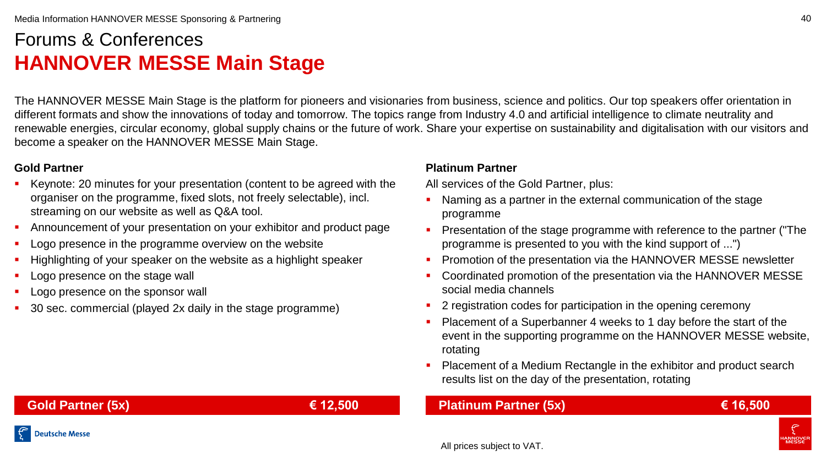# Forums & Conferences **HANNOVER MESSE Main Stage**

The HANNOVER MESSE Main Stage is the platform for pioneers and visionaries from business, science and politics. Our top speakers offer orientation in different formats and show the innovations of today and tomorrow. The topics range from Industry 4.0 and artificial intelligence to climate neutrality and renewable energies, circular economy, global supply chains or the future of work. Share your expertise on sustainability and digitalisation with our visitors and become a speaker on the HANNOVER MESSE Main Stage.

### **Gold Partner**

- Keynote: 20 minutes for your presentation (content to be agreed with the organiser on the programme, fixed slots, not freely selectable), incl. streaming on our website as well as Q&A tool.
- Announcement of your presentation on your exhibitor and product page
- Logo presence in the programme overview on the website
- Highlighting of your speaker on the website as a highlight speaker
- Logo presence on the stage wall
- Logo presence on the sponsor wall
- 30 sec. commercial (played 2x daily in the stage programme)

#### **Platinum Partner**

All services of the Gold Partner, plus:

- Naming as a partner in the external communication of the stage programme
- **Presentation of the stage programme with reference to the partner ("The** programme is presented to you with the kind support of ...")
- **Promotion of the presentation via the HANNOVER MESSE newsletter**
- Coordinated promotion of the presentation via the HANNOVER MESSE social media channels
- 2 registration codes for participation in the opening ceremony
- Placement of a Superbanner 4 weeks to 1 day before the start of the event in the supporting programme on the HANNOVER MESSE website, rotating
- Placement of a Medium Rectangle in the exhibitor and product search results list on the day of the presentation, rotating

# **Platinum Partner (5x) € 16,500**

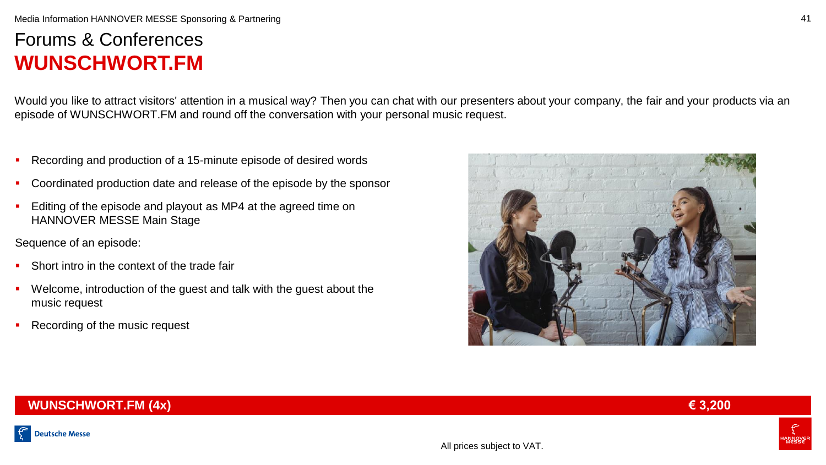#### Media Information HANNOVER MESSE Sponsoring & Partnering

# Forums & Conferences **WUNSCHWORT.FM**

Would you like to attract visitors' attention in a musical way? Then you can chat with our presenters about your company, the fair and your products via an episode of WUNSCHWORT.FM and round off the conversation with your personal music request.

- Recording and production of a 15-minute episode of desired words
- Coordinated production date and release of the episode by the sponsor
- Editing of the episode and playout as MP4 at the agreed time on HANNOVER MESSE Main Stage

Sequence of an episode:

- **Short intro in the context of the trade fair**
- Welcome, introduction of the guest and talk with the guest about the music request
- Recording of the music request



## **WUNSCHWORT.FM (4x) € 3,200**



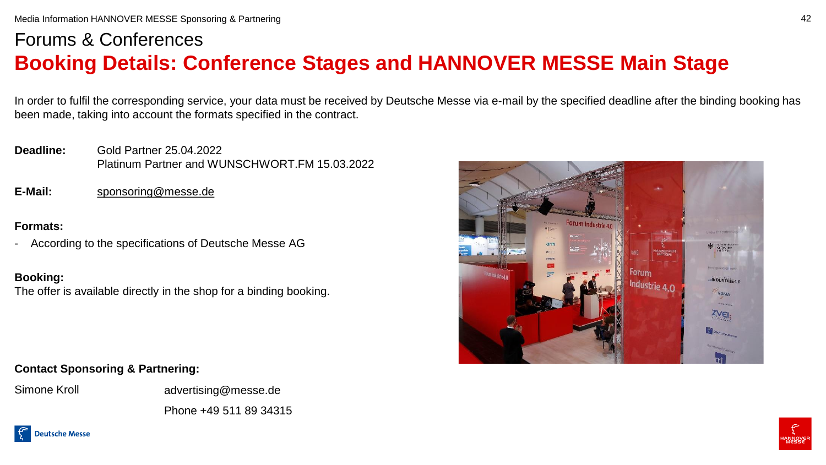# Forums & Conferences **Booking Details: Conference Stages and HANNOVER MESSE Main Stage**

In order to fulfil the corresponding service, your data must be received by Deutsche Messe via e-mail by the specified deadline after the binding booking has been made, taking into account the formats specified in the contract.

**Deadline:** Gold Partner 25.04.2022 Platinum Partner and WUNSCHWORT.FM 15.03.2022

**E-Mail:** [sponsoring@messe.de](mailto:sponsoring@messe.de)

### **Formats:**

According to the specifications of Deutsche Messe AG

## **Booking:**

The offer is available directly in the shop for a binding booking.

# **Contact Sponsoring & Partnering:**

Simone Kroll advertising@messe.de Phone +49 511 89 34315



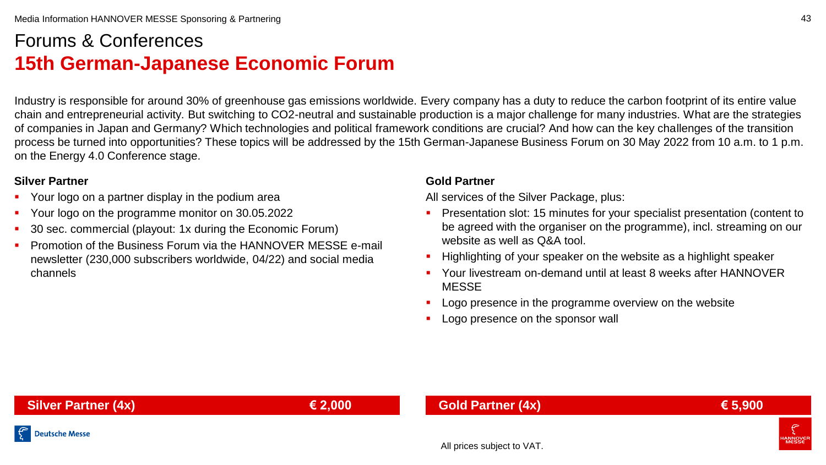# Forums & Conferences **15th German-Japanese Economic Forum**

Industry is responsible for around 30% of greenhouse gas emissions worldwide. Every company has a duty to reduce the carbon footprint of its entire value chain and entrepreneurial activity. But switching to CO2-neutral and sustainable production is a major challenge for many industries. What are the strategies of companies in Japan and Germany? Which technologies and political framework conditions are crucial? And how can the key challenges of the transition process be turned into opportunities? These topics will be addressed by the 15th German-Japanese Business Forum on 30 May 2022 from 10 a.m. to 1 p.m. on the Energy 4.0 Conference stage.

## **Silver Partner**

- Your logo on a partner display in the podium area
- Your logo on the programme monitor on 30.05.2022
- 30 sec. commercial (playout: 1x during the Economic Forum)
- Promotion of the Business Forum via the HANNOVER MESSE e-mail newsletter (230,000 subscribers worldwide, 04/22) and social media channels

### **Gold Partner**

All services of the Silver Package, plus:

- Presentation slot: 15 minutes for your specialist presentation (content to be agreed with the organiser on the programme), incl. streaming on our website as well as Q&A tool.
- Highlighting of your speaker on the website as a highlight speaker
- Your livestream on-demand until at least 8 weeks after HANNOVER **MESSE**
- **Logo presence in the programme overview on the website**
- Logo presence on the sponsor wall

43

# **Gold Partner (4x) € 5,900**